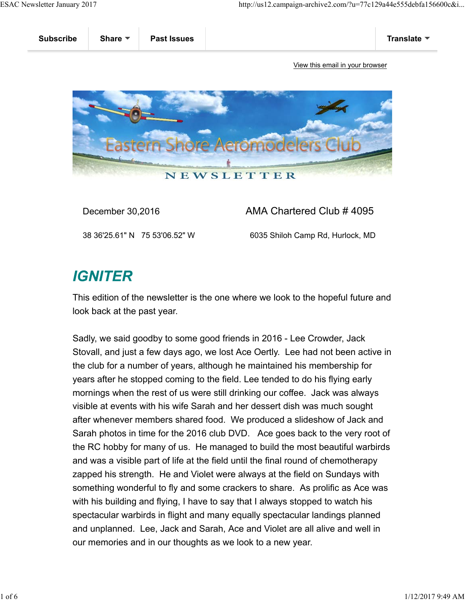

## December 30,2016 **AMA Chartered Club # 4095**

38 36'25.61" N 75 53'06.52" W 6035 Shiloh Camp Rd, Hurlock, MD

## **IGNITER**

This edition of the newsletter is the one where we look to the hopeful future and look back at the past year.

Sadly, we said goodby to some good friends in 2016 - Lee Crowder, Jack Stovall, and just a few days ago, we lost Ace Oertly. Lee had not been active in the club for a number of years, although he maintained his membership for years after he stopped coming to the field. Lee tended to do his flying early mornings when the rest of us were still drinking our coffee. Jack was always visible at events with his wife Sarah and her dessert dish was much sought after whenever members shared food. We produced a slideshow of Jack and Sarah photos in time for the 2016 club DVD. Ace goes back to the very root of the RC hobby for many of us. He managed to build the most beautiful warbirds and was a visible part of life at the field until the final round of chemotherapy zapped his strength. He and Violet were always at the field on Sundays with something wonderful to fly and some crackers to share. As prolific as Ace was with his building and flying, I have to say that I always stopped to watch his spectacular warbirds in flight and many equally spectacular landings planned and unplanned. Lee, Jack and Sarah, Ace and Violet are all alive and well in our memories and in our thoughts as we look to a new year.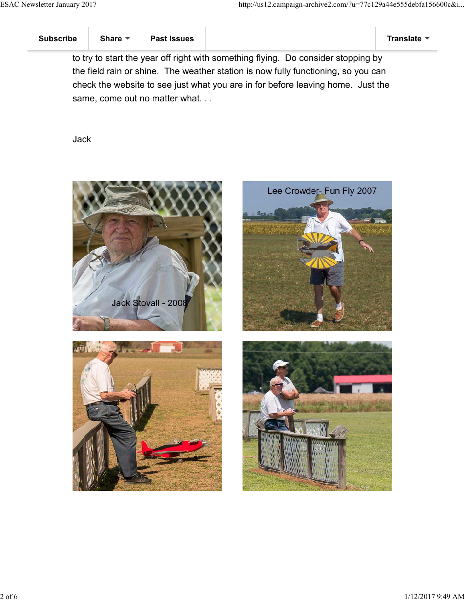to try to start the year off right with something flying. Do consider stopping by the field rain or shine. The weather station is now fully functioning, so you can check the website to see just what you are in for before leaving home. Just the same, come out no matter what. . .

Jack



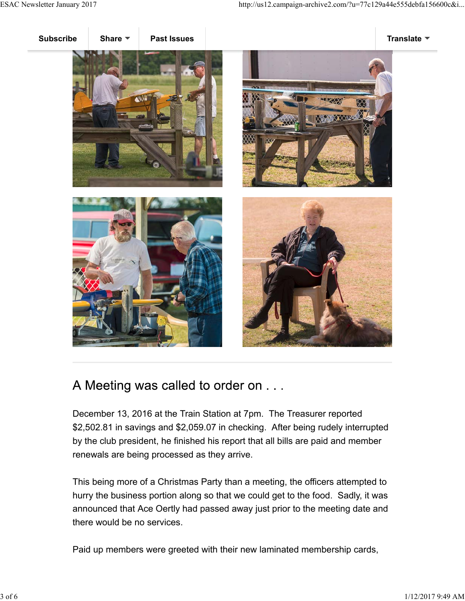

## A Meeting was called to order on . . .

December 13, 2016 at the Train Station at 7pm. The Treasurer reported \$2,502.81 in savings and \$2,059.07 in checking. After being rudely interrupted by the club president, he finished his report that all bills are paid and member renewals are being processed as they arrive.

This being more of a Christmas Party than a meeting, the officers attempted to hurry the business portion along so that we could get to the food. Sadly, it was announced that Ace Oertly had passed away just prior to the meeting date and there would be no services.

Paid up members were greeted with their new laminated membership cards,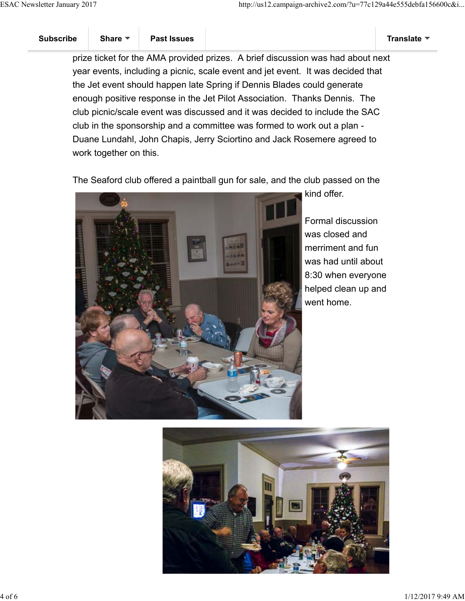prize ticket for the AMA provided prizes. A brief discussion was had about next year events, including a picnic, scale event and jet event. It was decided that the Jet event should happen late Spring if Dennis Blades could generate enough positive response in the Jet Pilot Association. Thanks Dennis. The club picnic/scale event was discussed and it was decided to include the SAC club in the sponsorship and a committee was formed to work out a plan - Duane Lundahl, John Chapis, Jerry Sciortino and Jack Rosemere agreed to work together on this.

The Seaford club offered a paintball gun for sale, and the club passed on the



kind offer.

Formal discussion was closed and merriment and fun was had until about 8:30 when everyone helped clean up and went home.

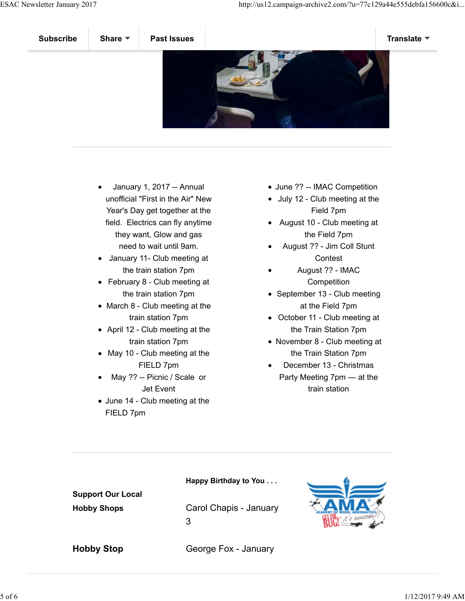

- January 1, 2017 -- Annual unofficial "First in the Air" New Year's Day get together at the field. Electrics can fly anytime they want, Glow and gas need to wait until 9am.
- January 11- Club meeting at the train station 7pm
- February 8 Club meeting at the train station 7pm
- March 8 Club meeting at the train station 7pm
- April 12 Club meeting at the train station 7pm
- May 10 Club meeting at the FIELD 7pm
- May ?? -- Picnic / Scale or Jet Event
- June 14 Club meeting at the FIELD 7pm
- June ?? -- IMAC Competition
- July 12 Club meeting at the Field 7pm
- August 10 Club meeting at the Field 7pm
- August ?? Jim Coll Stunt Contest
- August ?? IMAC **Competition**
- September 13 Club meeting at the Field 7pm
- October 11 Club meeting at the Train Station 7pm
- November 8 Club meeting at the Train Station 7pm
- December 13 Christmas Party Meeting 7pm — at the train station

**Support Our Local Hobby Shops**

**Happy Birthday to You . . .**

Carol Chapis - January 3



**Hobby Stop**

George Fox - January